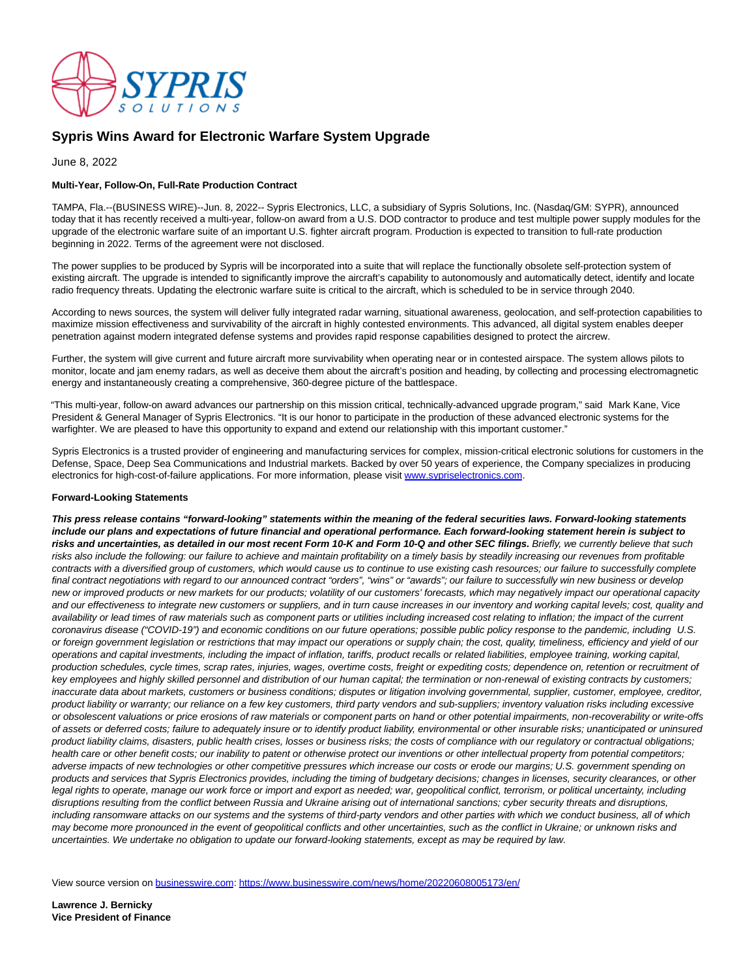

## **Sypris Wins Award for Electronic Warfare System Upgrade**

June 8, 2022

## **Multi-Year, Follow-On, Full-Rate Production Contract**

TAMPA, Fla.--(BUSINESS WIRE)--Jun. 8, 2022-- Sypris Electronics, LLC, a subsidiary of Sypris Solutions, Inc. (Nasdaq/GM: SYPR), announced today that it has recently received a multi-year, follow-on award from a U.S. DOD contractor to produce and test multiple power supply modules for the upgrade of the electronic warfare suite of an important U.S. fighter aircraft program. Production is expected to transition to full-rate production beginning in 2022. Terms of the agreement were not disclosed.

The power supplies to be produced by Sypris will be incorporated into a suite that will replace the functionally obsolete self-protection system of existing aircraft. The upgrade is intended to significantly improve the aircraft's capability to autonomously and automatically detect, identify and locate radio frequency threats. Updating the electronic warfare suite is critical to the aircraft, which is scheduled to be in service through 2040.

According to news sources, the system will deliver fully integrated radar warning, situational awareness, geolocation, and self-protection capabilities to maximize mission effectiveness and survivability of the aircraft in highly contested environments. This advanced, all digital system enables deeper penetration against modern integrated defense systems and provides rapid response capabilities designed to protect the aircrew.

Further, the system will give current and future aircraft more survivability when operating near or in contested airspace. The system allows pilots to monitor, locate and jam enemy radars, as well as deceive them about the aircraft's position and heading, by collecting and processing electromagnetic energy and instantaneously creating a comprehensive, 360-degree picture of the battlespace.

"This multi-year, follow-on award advances our partnership on this mission critical, technically-advanced upgrade program," said Mark Kane, Vice President & General Manager of Sypris Electronics. "It is our honor to participate in the production of these advanced electronic systems for the warfighter. We are pleased to have this opportunity to expand and extend our relationship with this important customer."

Sypris Electronics is a trusted provider of engineering and manufacturing services for complex, mission-critical electronic solutions for customers in the Defense, Space, Deep Sea Communications and Industrial markets. Backed by over 50 years of experience, the Company specializes in producing electronics for high-cost-of-failure applications. For more information, please visit [www.sypriselectronics.com.](https://cts.businesswire.com/ct/CT?id=smartlink&url=http%3A%2F%2Fwww.sypriselectronics.com&esheet=52742620&newsitemid=20220608005173&lan=en-US&anchor=www.sypriselectronics.com&index=1&md5=283d0fd964c99acea7ee3cc31bb4c349)

## **Forward-Looking Statements**

**This press release contains "forward-looking" statements within the meaning of the federal securities laws. Forward-looking statements include our plans and expectations of future financial and operational performance. Each forward-looking statement herein is subject to** risks and uncertainties, as detailed in our most recent Form 10-K and Form 10-Q and other SEC filings. Briefly, we currently believe that such risks also include the following: our failure to achieve and maintain profitability on a timely basis by steadily increasing our revenues from profitable contracts with a diversified group of customers, which would cause us to continue to use existing cash resources; our failure to successfully complete final contract negotiations with regard to our announced contract "orders", "wins" or "awards"; our failure to successfully win new business or develop new or improved products or new markets for our products; volatility of our customers' forecasts, which may negatively impact our operational capacity and our effectiveness to integrate new customers or suppliers, and in turn cause increases in our inventory and working capital levels; cost, quality and availability or lead times of raw materials such as component parts or utilities including increased cost relating to inflation; the impact of the current coronavirus disease ("COVID-19") and economic conditions on our future operations; possible public policy response to the pandemic, including U.S. or foreign government legislation or restrictions that may impact our operations or supply chain; the cost, quality, timeliness, efficiency and yield of our operations and capital investments, including the impact of inflation, tariffs, product recalls or related liabilities, employee training, working capital, production schedules, cycle times, scrap rates, injuries, wages, overtime costs, freight or expediting costs; dependence on, retention or recruitment of key employees and highly skilled personnel and distribution of our human capital; the termination or non-renewal of existing contracts by customers; inaccurate data about markets, customers or business conditions; disputes or litigation involving governmental, supplier, customer, employee, creditor, product liability or warranty; our reliance on a few key customers, third party vendors and sub-suppliers; inventory valuation risks including excessive or obsolescent valuations or price erosions of raw materials or component parts on hand or other potential impairments, non-recoverability or write-offs of assets or deferred costs; failure to adequately insure or to identify product liability, environmental or other insurable risks; unanticipated or uninsured product liability claims, disasters, public health crises, losses or business risks; the costs of compliance with our regulatory or contractual obligations; health care or other benefit costs; our inability to patent or otherwise protect our inventions or other intellectual property from potential competitors; adverse impacts of new technologies or other competitive pressures which increase our costs or erode our margins; U.S. government spending on products and services that Sypris Electronics provides, including the timing of budgetary decisions; changes in licenses, security clearances, or other legal rights to operate, manage our work force or import and export as needed; war, geopolitical conflict, terrorism, or political uncertainty, including disruptions resulting from the conflict between Russia and Ukraine arising out of international sanctions; cyber security threats and disruptions, including ransomware attacks on our systems and the systems of third-party vendors and other parties with which we conduct business, all of which may become more pronounced in the event of geopolitical conflicts and other uncertainties, such as the conflict in Ukraine; or unknown risks and uncertainties. We undertake no obligation to update our forward-looking statements, except as may be required by law.

View source version on [businesswire.com:](http://businesswire.com/)<https://www.businesswire.com/news/home/20220608005173/en/>